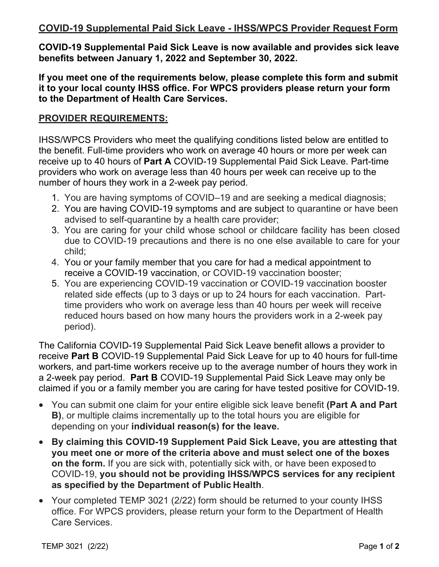# **COVID-19 Supplemental Paid Sick Leave - IHSS/WPCS Provider Request Form**

**COVID-19 Supplemental Paid Sick Leave is now available and provides sick leave benefits between January 1, 2022 and September 30, 2022.** 

**If you meet one of the requirements below, please complete this form and submit it to your local county IHSS office. For WPCS providers please return your form to the Department of Health Care Services.** 

### **PROVIDER REQUIREMENTS:**

IHSS/WPCS Providers who meet the qualifying conditions listed below are entitled to the benefit. Full-time providers who work on average 40 hours or more per week can receive up to 40 hours of **Part A** COVID-19 Supplemental Paid Sick Leave. Part-time providers who work on average less than 40 hours per week can receive up to the number of hours they work in a 2-week pay period.

- 1. You are having symptoms of COVID–19 and are seeking a medical diagnosis;
- 2. You are having COVID-19 symptoms and are subject to quarantine or have been advised to self-quarantine by a health care provider;
- 3. You are caring for your child whose school or childcare facility has been closed due to COVID-19 precautions and there is no one else available to care for your child;
- 4. You or your family member that you care for had a medical appointment to receive a COVID-19 vaccination, or COVID-19 vaccination booster;
- 5. You are experiencing COVID-19 vaccination or COVID-19 vaccination booster related side effects (up to 3 days or up to 24 hours for each vaccination. Parttime providers who work on average less than 40 hours per week will receive reduced hours based on how many hours the providers work in a 2-week pay period).

The California COVID-19 Supplemental Paid Sick Leave benefit allows a provider to receive **Part B** COVID-19 Supplemental Paid Sick Leave for up to 40 hours for full-time workers, and part-time workers receive up to the average number of hours they work in a 2-week pay period. **Part B** COVID-19 Supplemental Paid Sick Leave may only be claimed if you or a family member you are caring for have tested positive for COVID-19.

- You can submit one claim for your entire eligible sick leave benefit **(Part A and Part B)**, or multiple claims incrementally up to the total hours you are eligible for depending on your **individual reason(s) for the leave.**
- **By claiming this COVID-19 Supplement Paid Sick Leave, you are attesting that you meet one or more of the criteria above and must select one of the boxes on the form.** If you are sick with, potentially sick with, or have been exposed to COVID-19, **you should not be providing IHSS/WPCS services for any recipient as specified by the Department of Public Health**.
- Your completed TEMP 3021 (2/22) form should be returned to your county IHSS office. For WPCS providers, please return your form to the Department of Health Care Services.